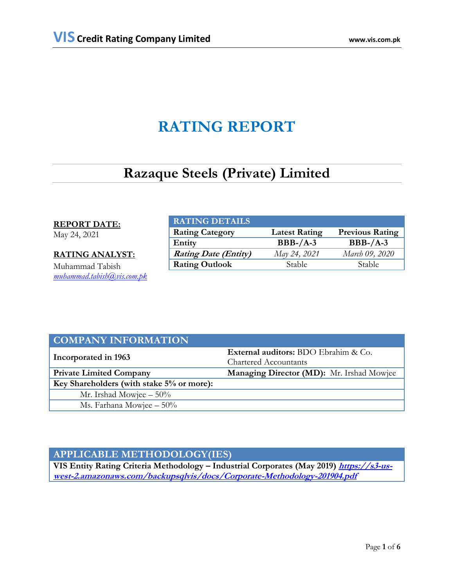# **RATING REPORT**

# **Razaque Steels (Private) Limited**

### **REPORT DATE:**

May 24, 2021

### **RATING ANALYST:**

Muhammad Tabish *[muhammad.tabish@vis.com.pk](mailto:muhammad.tabish@vis.com.pk)*

| <b>RATING DETAILS</b>       |                      |                        |
|-----------------------------|----------------------|------------------------|
| <b>Rating Category</b>      | <b>Latest Rating</b> | <b>Previous Rating</b> |
| Entity                      | $BBB-A-3$            | $BBB-A-3$              |
| <b>Rating Date (Entity)</b> | May 24, 2021         | March 09, 2020         |
| <b>Rating Outlook</b>       | <b>Stable</b>        | <b>Stable</b>          |

| <b>COMPANY INFORMATION</b>                |                                             |  |  |
|-------------------------------------------|---------------------------------------------|--|--|
|                                           | <b>External auditors:</b> BDO Ebrahim & Co. |  |  |
| Incorporated in 1963                      | <b>Chartered Accountants</b>                |  |  |
| <b>Private Limited Company</b>            | Managing Director (MD): Mr. Irshad Mowjee   |  |  |
| Key Shareholders (with stake 5% or more): |                                             |  |  |
| Mr. Irshad Mowjee $-50\%$                 |                                             |  |  |
| Ms. Farhana Mowjee $-50\%$                |                                             |  |  |

# **APPLICABLE METHODOLOGY(IES)**

**VIS Entity Rating Criteria Methodology – Industrial Corporates (May 2019) [https://s3-us](https://s3-us-west-2.amazonaws.com/backupsqlvis/docs/Corporate-Methodology-201904.pdf)[west-2.amazonaws.com/backupsqlvis/docs/Corporate-Methodology-201904.pdf](https://s3-us-west-2.amazonaws.com/backupsqlvis/docs/Corporate-Methodology-201904.pdf)**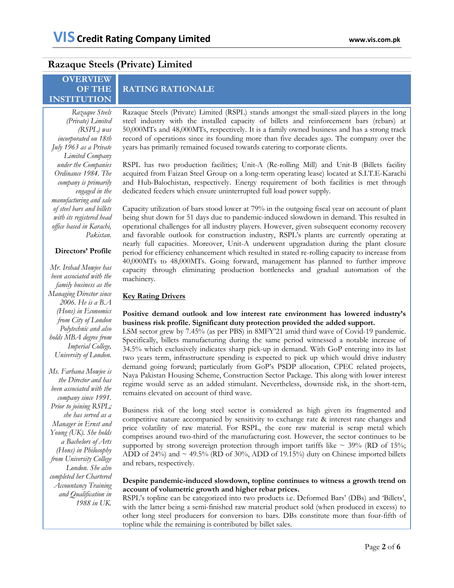## **Razaque Steels (Private) Limited**

### **OVERVIEW OF THE INSTITUTION**

*Razaque Steels (Private) Limited (RSPL) was incorporated on 18th July 1963 as a Private Limited Company under the Companies Ordinance 1984. The company is primarily engaged in the manufacturing and sale of steel bars and billets with its registered head office based in Karachi, Pakistan.*

#### **Directors' Profile**

*Mr. Irshad Mowjee has been associated with the family business as the Managing Director since 2006. He is a B.A (Hons) in Economics from City of London Polytechnic and also holds MBA degree from Imperial College, University of London.*

*Ms. Farhana Mowjee is the Director and has been associated with the company since 1991. Prior to joining RSPL; she has served as a Manager in Ernst and Young (UK). She holds a Bachelors of Arts (Hons) in Philosophy from University College London. She also completed her Chartered Accountancy Training and Qualification in 1988 in UK.*

# **RATING RATIONALE**

Razaque Steels (Private) Limited (RSPL) stands amongst the small-sized players in the long steel industry with the installed capacity of billets and reinforcement bars (rebars) at 50,000MTs and 48,000MTs, respectively. It is a family owned business and has a strong track record of operations since its founding more than five decades ago. The company over the years has primarily remained focused towards catering to corporate clients.

RSPL has two production facilities; Unit-A (Re-rolling Mill) and Unit-B (Billets facility acquired from Faizan Steel Group on a long-term operating lease) located at S.I.T.E-Karachi and Hub-Balochistan, respectively. Energy requirement of both facilities is met through dedicated feeders which ensure uninterrupted full load power supply.

Capacity utilization of bars stood lower at 79% in the outgoing fiscal year on account of plant being shut down for 51 days due to pandemic-induced slowdown in demand. This resulted in operational challenges for all industry players. However, given subsequent economy recovery and favorable outlook for construction industry, RSPL's plants are currently operating at nearly full capacities. Moreover, Unit-A underwent upgradation during the plant closure period for efficiency enhancement which resulted in stated re-rolling capacity to increase from 40,000MTs to 48,000MTs. Going forward, management has planned to further improve capacity through eliminating production bottlenecks and gradual automation of the machinery.

### **Key Rating Drivers**

### **Positive demand outlook and low interest rate environment has lowered industry's business risk profile. Significant duty protection provided the added support.**

LSM sector grew by 7.45% (as per PBS) in 8MFY'21 amid third wave of Covid-19 pandemic. Specifically, billets manufacturing during the same period witnessed a notable increase of 34.5% which exclusively indicates sharp pick-up in demand. With GoP entering into its last two years term, infrastructure spending is expected to pick up which would drive industry demand going forward; particularly from GoP's PSDP allocation, CPEC related projects, Naya Pakistan Housing Scheme, Construction Sector Package. This along with lower interest regime would serve as an added stimulant. Nevertheless, downside risk, in the short-tern, remains elevated on account of third wave.

Business risk of the long steel sector is considered as high given its fragmented and competitive nature accompanied by sensitivity to exchange rate & interest rate changes and price volatility of raw material. For RSPL, the core raw material is scrap metal which comprises around two-third of the manufacturing cost. However, the sector continues to be supported by strong sovereign protection through import tariffs like  $\sim$  39% (RD of 15%; ADD of 24%) and  $\sim$  49.5% (RD of 30%, ADD of 19.15%) duty on Chinese imported billets and rebars, respectively.

#### **Despite pandemic-induced slowdown, topline continues to witness a growth trend on account of volumetric growth and higher rebar prices.**

RSPL's topline can be categorized into two products i.e. Deformed Bars' (DBs) and 'Billets', with the latter being a semi-finished raw material product sold (when produced in excess) to other long steel producers for conversion to bars. DBs constitute more than four-fifth of topline while the remaining is contributed by billet sales.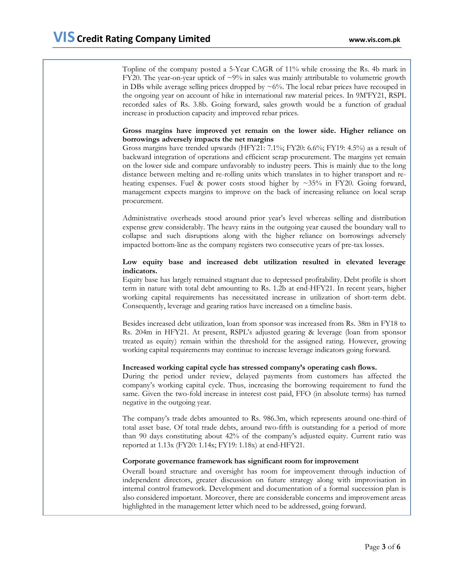Topline of the company posted a 5-Year CAGR of 11% while crossing the Rs. 4b mark in FY20. The year-on-year uptick of  $\sim$ 9% in sales was mainly attributable to volumetric growth in DBs while average selling prices dropped by  $\sim 6\%$ . The local rebar prices have recouped in the ongoing year on account of hike in international raw material prices. In 9M'FY21, RSPL recorded sales of Rs. 3.8b. Going forward, sales growth would be a function of gradual increase in production capacity and improved rebar prices.

#### **Gross margins have improved yet remain on the lower side. Higher reliance on borrowings adversely impacts the net margins**

Gross margins have trended upwards (HFY21: 7.1%; FY20: 6.6%; FY19: 4.5%) as a result of backward integration of operations and efficient scrap procurement. The margins yet remain on the lower side and compare unfavorably to industry peers. This is mainly due to the long distance between melting and re-rolling units which translates in to higher transport and reheating expenses. Fuel & power costs stood higher by ~35% in FY20. Going forward, management expects margins to improve on the back of increasing reliance on local scrap procurement.

Administrative overheads stood around prior year's level whereas selling and distribution expense grew considerably. The heavy rains in the outgoing year caused the boundary wall to collapse and such disruptions along with the higher reliance on borrowings adversely impacted bottom-line as the company registers two consecutive years of pre-tax losses.

#### **Low equity base and increased debt utilization resulted in elevated leverage indicators.**

Equity base has largely remained stagnant due to depressed profitability. Debt profile is short term in nature with total debt amounting to Rs. 1.2b at end-HFY21. In recent years, higher working capital requirements has necessitated increase in utilization of short-term debt. Consequently, leverage and gearing ratios have increased on a timeline basis.

Besides increased debt utilization, loan from sponsor was increased from Rs. 38m in FY18 to Rs. 204m in HFY21. At present, RSPL's adjusted gearing & leverage (loan from sponsor treated as equity) remain within the threshold for the assigned rating. However, growing working capital requirements may continue to increase leverage indicators going forward.

#### **Increased working capital cycle has stressed company's operating cash flows.**

During the period under review, delayed payments from customers has affected the company's working capital cycle. Thus, increasing the borrowing requirement to fund the same. Given the two-fold increase in interest cost paid, FFO (in absolute terms) has turned negative in the outgoing year.

The company's trade debts amounted to Rs. 986.3m, which represents around one-third of total asset base. Of total trade debts, around two-fifth is outstanding for a period of more than 90 days constituting about 42% of the company's adjusted equity. Current ratio was reported at 1.13x (FY20: 1.14x; FY19: 1.18x) at end-HFY21.

#### **Corporate governance framework has significant room for improvement**

Overall board structure and oversight has room for improvement through induction of independent directors, greater discussion on future strategy along with improvisation in internal control framework. Development and documentation of a formal succession plan is also considered important. Moreover, there are considerable concerns and improvement areas highlighted in the management letter which need to be addressed, going forward.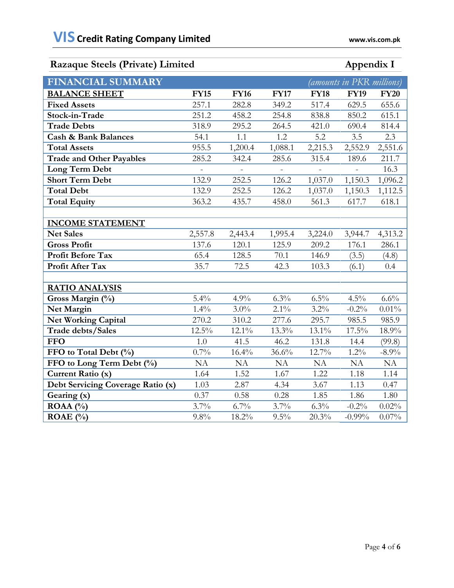# **Razaque Steels (Private) Limited Appendix I**

|  | Annendix |  |
|--|----------|--|
|  |          |  |

| <b>FINANCIAL SUMMARY</b>          |             |             |             | (amounts in PKR millions) |             |             |
|-----------------------------------|-------------|-------------|-------------|---------------------------|-------------|-------------|
| <b>BALANCE SHEET</b>              | <b>FY15</b> | <b>FY16</b> | <b>FY17</b> | <b>FY18</b>               | <b>FY19</b> | <b>FY20</b> |
| <b>Fixed Assets</b>               | 257.1       | 282.8       | 349.2       | 517.4                     | 629.5       | 655.6       |
| Stock-in-Trade                    | 251.2       | 458.2       | 254.8       | 838.8                     | 850.2       | 615.1       |
| <b>Trade Debts</b>                | 318.9       | 295.2       | 264.5       | 421.0                     | 690.4       | 814.4       |
| <b>Cash &amp; Bank Balances</b>   | 54.1        | 1.1         | 1.2         | 5.2                       | 3.5         | 2.3         |
| <b>Total Assets</b>               | 955.5       | 1,200.4     | 1,088.1     | 2,215.3                   | 2,552.9     | 2,551.6     |
| <b>Trade and Other Payables</b>   | 285.2       | 342.4       | 285.6       | 315.4                     | 189.6       | 211.7       |
| Long Term Debt                    |             |             |             |                           |             | 16.3        |
| <b>Short Term Debt</b>            | 132.9       | 252.5       | 126.2       | 1,037.0                   | 1,150.3     | 1,096.2     |
| <b>Total Debt</b>                 | 132.9       | 252.5       | 126.2       | 1,037.0                   | 1,150.3     | 1,112.5     |
| <b>Total Equity</b>               | 363.2       | 435.7       | 458.0       | 561.3                     | 617.7       | 618.1       |
|                                   |             |             |             |                           |             |             |
| <b>INCOME STATEMENT</b>           |             |             |             |                           |             |             |
| <b>Net Sales</b>                  | 2,557.8     | 2,443.4     | 1,995.4     | 3,224.0                   | 3,944.7     | 4,313.2     |
| <b>Gross Profit</b>               | 137.6       | 120.1       | 125.9       | 209.2                     | 176.1       | 286.1       |
| <b>Profit Before Tax</b>          | 65.4        | 128.5       | 70.1        | 146.9                     | (3.5)       | (4.8)       |
| Profit After Tax                  | 35.7        | 72.5        | 42.3        | 103.3                     | (6.1)       | 0.4         |
|                                   |             |             |             |                           |             |             |
| <b>RATIO ANALYSIS</b>             |             |             |             |                           |             |             |
| Gross Margin (%)                  | 5.4%        | 4.9%        | 6.3%        | 6.5%                      | 4.5%        | 6.6%        |
| Net Margin                        | $1.4\%$     | $3.0\%$     | $2.1\%$     | 3.2%                      | $-0.2%$     | 0.01%       |
| <b>Net Working Capital</b>        | 270.2       | 310.2       | 277.6       | 295.7                     | 985.5       | 985.9       |
| Trade debts/Sales                 | 12.5%       | 12.1%       | 13.3%       | 13.1%                     | 17.5%       | 18.9%       |
| <b>FFO</b>                        | 1.0         | 41.5        | 46.2        | 131.8                     | 14.4        | (99.8)      |
| FFO to Total Debt (%)             | $0.7\%$     | 16.4%       | 36.6%       | 12.7%                     | $1.2\%$     | $-8.9\%$    |
| FFO to Long Term Debt (%)         | NA          | NA          | NA          | <b>NA</b>                 | NA          | NA          |
| Current Ratio (x)                 | 1.64        | 1.52        | 1.67        | 1.22                      | 1.18        | 1.14        |
| Debt Servicing Coverage Ratio (x) | 1.03        | 2.87        | 4.34        | 3.67                      | 1.13        | 0.47        |
| Gearing (x)                       | 0.37        | 0.58        | 0.28        | 1.85                      | 1.86        | 1.80        |
| ROAA (%)                          | 3.7%        | 6.7%        | 3.7%        | 6.3%                      | $-0.2%$     | 0.02%       |
| ROAE $(\%$                        | 9.8%        | 18.2%       | 9.5%        | 20.3%                     | $-0.99\%$   | 0.07%       |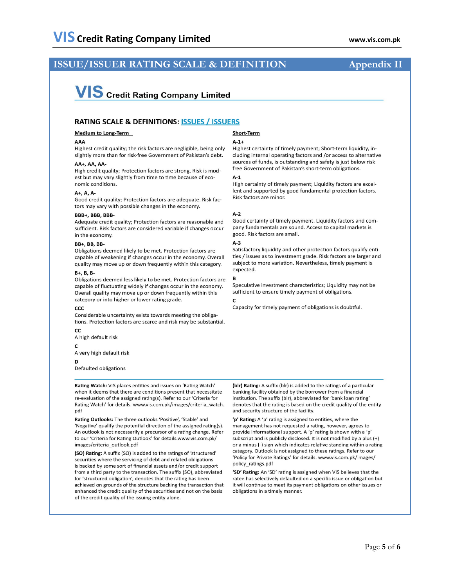# **ISSUE/ISSUER RATING SCALE & DEFINITION**

# **VIS** Credit Rating Company Limited

#### **RATING SCALE & DEFINITIONS: ISSUES / ISSUERS**

#### **Medium to Long-Term**

#### AAA

Highest credit quality; the risk factors are negligible, being only slightly more than for risk-free Government of Pakistan's debt.

#### AA+, AA, AA-

High credit quality; Protection factors are strong. Risk is modest but may vary slightly from time to time because of economic conditions.

#### $A+$ ,  $A$ ,  $A-$

Good credit quality; Protection factors are adequate. Risk factors may vary with possible changes in the economy.

#### **RRR+ RRR RRR-**

Adequate credit quality; Protection factors are reasonable and sufficient. Risk factors are considered variable if changes occur in the economy.

#### **BB+. BB. BB-**

Obligations deemed likely to be met. Protection factors are capable of weakening if changes occur in the economy. Overall quality may move up or down frequently within this category.

#### $B + B$ .  $B$ .

Obligations deemed less likely to be met. Protection factors are capable of fluctuating widely if changes occur in the economy. Overall quality may move up or down frequently within this category or into higher or lower rating grade.

#### CCC

Considerable uncertainty exists towards meeting the obligations. Protection factors are scarce and risk may be substantial.

CC A high default risk

 $\epsilon$ 

A very high default risk

D

Defaulted obligations

Rating Watch: VIS places entities and issues on 'Rating Watch' when it deems that there are conditions present that necessitate re-evaluation of the assigned rating(s). Refer to our 'Criteria for Rating Watch' for details. www.vis.com.pk/images/criteria\_watch. pdf

Rating Outlooks: The three outlooks 'Positive', 'Stable' and 'Negative' qualify the potential direction of the assigned rating(s). An outlook is not necessarily a precursor of a rating change. Refer to our 'Criteria for Rating Outlook' for details.www.vis.com.pk/ images/criteria\_outlook.pdf

(SO) Rating: A suffix (SO) is added to the ratings of 'structured' securities where the servicing of debt and related obligations is backed by some sort of financial assets and/or credit support from a third party to the transaction. The suffix (SO), abbreviated for 'structured obligation', denotes that the rating has been achieved on grounds of the structure backing the transaction that enhanced the credit quality of the securities and not on the basis of the credit quality of the issuing entity alone.

#### **Short-Term**

#### $A-1+$

Highest certainty of timely payment; Short-term liquidity, including internal operating factors and /or access to alternative sources of funds, is outstanding and safety is just below risk free Government of Pakistan's short-term obligations.

#### $A-1$

High certainty of timely payment; Liquidity factors are excellent and supported by good fundamental protection factors. Risk factors are minor.

#### $A-2$

Good certainty of timely payment. Liquidity factors and company fundamentals are sound. Access to capital markets is good. Risk factors are small.

#### $A-3$

Satisfactory liquidity and other protection factors qualify entities / issues as to investment grade. Risk factors are larger and subject to more variation. Nevertheless, timely payment is expected.

Speculative investment characteristics; Liquidity may not be sufficient to ensure timely payment of obligations.

 $\mathbf{C}$ 

Capacity for timely payment of obligations is doubtful.

(blr) Rating: A suffix (blr) is added to the ratings of a particular banking facility obtained by the borrower from a financial institution. The suffix (blr), abbreviated for 'bank loan rating' denotes that the rating is based on the credit quality of the entity and security structure of the facility.

'p' Rating: A 'p' rating is assigned to entities, where the management has not requested a rating, however, agrees to provide informational support. A 'p' rating is shown with a 'p' subscript and is publicly disclosed. It is not modified by a plus (+) or a minus (-) sign which indicates relative standing within a rating category. Outlook is not assigned to these ratings. Refer to our 'Policy for Private Ratings' for details. www.vis.com.pk/images/ policy ratings.pdf

'SD' Rating: An 'SD' rating is assigned when VIS believes that the ratee has selectively defaulted on a specific issue or obligation but it will continue to meet its payment obligations on other issues or obligations in a timely manner.

### **Appendix II**